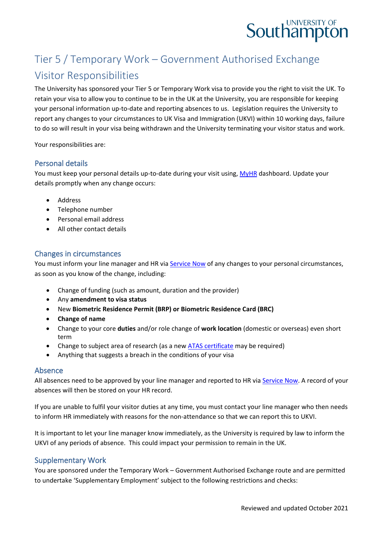# **Southampton**

# Tier 5 / Temporary Work – Government Authorised Exchange Visitor Responsibilities

The University has sponsored your Tier 5 or Temporary Work visa to provide you the right to visit the UK. To retain your visa to allow you to continue to be in the UK at the University, you are responsible for keeping your personal information up-to-date and reporting absences to us. Legislation requires the University to report any changes to your circumstances to UK Visa and Immigration (UKVI) within 10 working days, failure to do so will result in your visa being withdrawn and the University terminating your visitor status and work.

Your responsibilities are:

#### Personal details

You must keep your personal details up-to-date during your visit using[, MyHR](https://myhr.soton.ac.uk/dashboard/dashboard-ui/index.html#/landing) dashboard. Update your details promptly when any change occurs:

- Address
- Telephone number
- Personal email address
- All other contact details

## Changes in circumstances

You must inform your line manager and HR via [Service Now](https://sotonproduction.service-now.com/serviceportal?id=sc_cat_item&sys_id=c562ba80db0097006f3df57eaf9619d3) of any changes to your personal circumstances, as soon as you know of the change, including:

- Change of funding (such as amount, duration and the provider)
- Any **amendment to visa status**
- New **Biometric Residence Permit (BRP) or Biometric Residence Card (BRC)**
- **Change of name**
- Change to your core **duties** and/or role change of **work location** (domestic or overseas) even short term
- Change to subject area of research (as a new [ATAS certificate](https://www.gov.uk/guidance/academic-technology-approval-scheme) may be required)
- Anything that suggests a breach in the conditions of your visa

#### Absence

All absences need to be approved by your line manager and reported to HR via [Service Now.](https://sotonproduction.service-now.com/serviceportal?id=sc_cat_item&sys_id=c562ba80db0097006f3df57eaf9619d3) A record of your absences will then be stored on your HR record.

If you are unable to fulfil your visitor duties at any time, you must contact your line manager who then needs to inform HR immediately with reasons for the non-attendance so that we can report this to UKVI.

It is important to let your line manager know immediately, as the University is required by law to inform the UKVI of any periods of absence. This could impact your permission to remain in the UK.

#### Supplementary Work

You are sponsored under the Temporary Work – Government Authorised Exchange route and are permitted to undertake 'Supplementary Employment' subject to the following restrictions and checks: